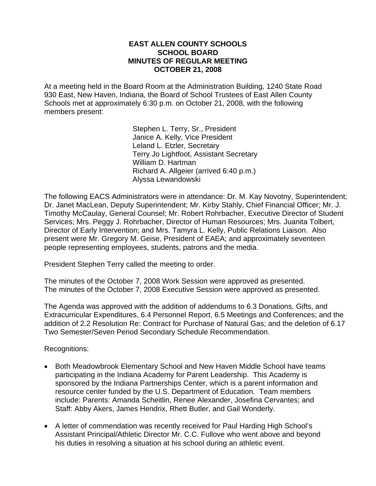#### **EAST ALLEN COUNTY SCHOOLS SCHOOL BOARD MINUTES OF REGULAR MEETING OCTOBER 21, 2008**

At a meeting held in the Board Room at the Administration Building, 1240 State Road 930 East, New Haven, Indiana, the Board of School Trustees of East Allen County Schools met at approximately 6:30 p.m. on October 21, 2008, with the following members present:

> Stephen L. Terry, Sr., President Janice A. Kelly, Vice President Leland L. Etzler, Secretary Terry Jo Lightfoot, Assistant Secretary William D. Hartman Richard A. Allgeier (arrived 6:40 p.m.) Alyssa Lewandowski

The following EACS Administrators were in attendance: Dr. M. Kay Novotny, Superintendent; Dr. Janet MacLean, Deputy Superintendent; Mr. Kirby Stahly, Chief Financial Officer; Mr. J. Timothy McCaulay, General Counsel; Mr. Robert Rohrbacher, Executive Director of Student Services; Mrs. Peggy J. Rohrbacher, Director of Human Resources; Mrs. Juanita Tolbert, Director of Early Intervention; and Mrs. Tamyra L. Kelly, Public Relations Liaison. Also present were Mr. Gregory M. Geise, President of EAEA; and approximately seventeen people representing employees, students, patrons and the media.

President Stephen Terry called the meeting to order.

The minutes of the October 7, 2008 Work Session were approved as presented. The minutes of the October 7, 2008 Executive Session were approved as presented.

The Agenda was approved with the addition of addendums to 6.3 Donations, Gifts, and Extracurricular Expenditures, 6.4 Personnel Report, 6.5 Meetings and Conferences; and the addition of 2.2 Resolution Re: Contract for Purchase of Natural Gas; and the deletion of 6.17 Two Semester/Seven Period Secondary Schedule Recommendation.

Recognitions:

- Both Meadowbrook Elementary School and New Haven Middle School have teams participating in the Indiana Academy for Parent Leadership. This Academy is sponsored by the Indiana Partnerships Center, which is a parent information and resource center funded by the U.S. Department of Education. Team members include: Parents: Amanda Scheitlin, Renee Alexander, Josefina Cervantes; and Staff: Abby Akers, James Hendrix, Rhett Butler, and Gail Wonderly.
- A letter of commendation was recently received for Paul Harding High School's Assistant Principal/Athletic Director Mr. C.C. Fullove who went above and beyond his duties in resolving a situation at his school during an athletic event.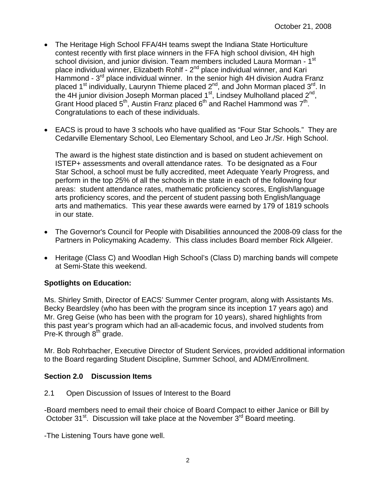- The Heritage High School FFA/4H teams swept the Indiana State Horticulture contest recently with first place winners in the FFA high school division, 4H high school division, and junior division. Team members included Laura Morman - 1<sup>st</sup> place individual winner, Elizabeth Rohlf -  $2<sup>nd</sup>$  place individual winner, and Kari Hammond - 3<sup>rd</sup> place individual winner. In the senior high 4H division Audra Franz placed 1<sup>st</sup> individually, Laurynn Thieme placed 2<sup>nd</sup>, and John Morman placed 3<sup>rd</sup>. In the 4H junior division Joseph Morman placed 1<sup>st</sup>, Lindsey Mulholland placed 2<sup>nd</sup>, Grant Hood placed  $5<sup>th</sup>$ , Austin Franz placed  $6<sup>th</sup>$  and Rachel Hammond was  $7<sup>th</sup>$ . Congratulations to each of these individuals.
- EACS is proud to have 3 schools who have qualified as "Four Star Schools." They are Cedarville Elementary School, Leo Elementary School, and Leo Jr./Sr. High School.

The award is the highest state distinction and is based on student achievement on ISTEP+ assessments and overall attendance rates. To be designated as a Four Star School, a school must be fully accredited, meet Adequate Yearly Progress, and perform in the top 25% of all the schools in the state in each of the following four areas: student attendance rates, mathematic proficiency scores, English/language arts proficiency scores, and the percent of student passing both English/language arts and mathematics. This year these awards were earned by 179 of 1819 schools in our state.

- The Governor's Council for People with Disabilities announced the 2008-09 class for the Partners in Policymaking Academy. This class includes Board member Rick Allgeier.
- Heritage (Class C) and Woodlan High School's (Class D) marching bands will compete at Semi-State this weekend.

## **Spotlights on Education:**

Ms. Shirley Smith, Director of EACS' Summer Center program, along with Assistants Ms. Becky Beardsley (who has been with the program since its inception 17 years ago) and Mr. Greg Geise (who has been with the program for 10 years), shared highlights from this past year's program which had an all-academic focus, and involved students from Pre-K through  $8<sup>th</sup>$  grade.

Mr. Bob Rohrbacher, Executive Director of Student Services, provided additional information to the Board regarding Student Discipline, Summer School, and ADM/Enrollment.

## **Section 2.0 Discussion Items**

2.1 Open Discussion of Issues of Interest to the Board

-Board members need to email their choice of Board Compact to either Janice or Bill by October 31<sup>st</sup>. Discussion will take place at the November 3<sup>rd</sup> Board meeting.

-The Listening Tours have gone well.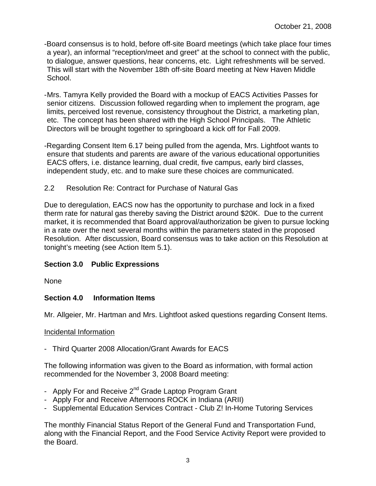- -Board consensus is to hold, before off-site Board meetings (which take place four times a year), an informal "reception/meet and greet" at the school to connect with the public, to dialogue, answer questions, hear concerns, etc. Light refreshments will be served. This will start with the November 18th off-site Board meeting at New Haven Middle School.
- Mrs. Tamyra Kelly provided the Board with a mockup of EACS Activities Passes for senior citizens. Discussion followed regarding when to implement the program, age limits, perceived lost revenue, consistency throughout the District, a marketing plan, etc. The concept has been shared with the High School Principals. The Athletic Directors will be brought together to springboard a kick off for Fall 2009.
- -Regarding Consent Item 6.17 being pulled from the agenda, Mrs. Lightfoot wants to ensure that students and parents are aware of the various educational opportunities EACS offers, i.e. distance learning, dual credit, five campus, early bird classes, independent study, etc. and to make sure these choices are communicated.
- 2.2 Resolution Re: Contract for Purchase of Natural Gas

Due to deregulation, EACS now has the opportunity to purchase and lock in a fixed therm rate for natural gas thereby saving the District around \$20K. Due to the current market, it is recommended that Board approval/authorization be given to pursue locking in a rate over the next several months within the parameters stated in the proposed Resolution. After discussion, Board consensus was to take action on this Resolution at tonight's meeting (see Action Item 5.1).

## **Section 3.0 Public Expressions**

None

## **Section 4.0 Information Items**

Mr. Allgeier, Mr. Hartman and Mrs. Lightfoot asked questions regarding Consent Items.

#### Incidental Information

- Third Quarter 2008 Allocation/Grant Awards for EACS

The following information was given to the Board as information, with formal action recommended for the November 3, 2008 Board meeting:

- Apply For and Receive 2<sup>nd</sup> Grade Laptop Program Grant
- Apply For and Receive Afternoons ROCK in Indiana (ARII)
- Supplemental Education Services Contract Club Z! In-Home Tutoring Services

The monthly Financial Status Report of the General Fund and Transportation Fund, along with the Financial Report, and the Food Service Activity Report were provided to the Board.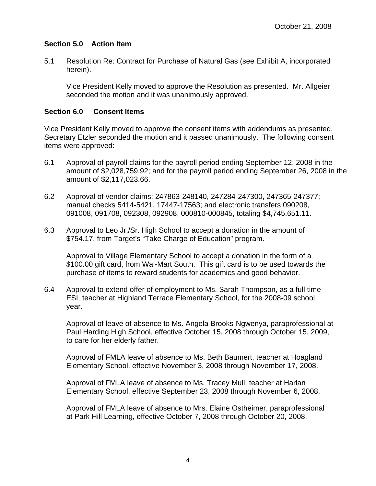## **Section 5.0 Action Item**

5.1 Resolution Re: Contract for Purchase of Natural Gas (see Exhibit A, incorporated herein).

Vice President Kelly moved to approve the Resolution as presented. Mr. Allgeier seconded the motion and it was unanimously approved.

#### **Section 6.0 Consent Items**

Vice President Kelly moved to approve the consent items with addendums as presented. Secretary Etzler seconded the motion and it passed unanimously. The following consent items were approved:

- 6.1 Approval of payroll claims for the payroll period ending September 12, 2008 in the amount of \$2,028,759.92; and for the payroll period ending September 26, 2008 in the amount of \$2,117,023.66.
- 6.2 Approval of vendor claims: 247863-248140, 247284-247300, 247365-247377; manual checks 5414-5421, 17447-17563; and electronic transfers 090208, 091008, 091708, 092308, 092908, 000810-000845, totaling \$4,745,651.11.
- 6.3 Approval to Leo Jr./Sr. High School to accept a donation in the amount of \$754.17, from Target's "Take Charge of Education" program.

 Approval to Village Elementary School to accept a donation in the form of a \$100.00 gift card, from Wal-Mart South. This gift card is to be used towards the purchase of items to reward students for academics and good behavior.

6.4 Approval to extend offer of employment to Ms. Sarah Thompson, as a full time ESL teacher at Highland Terrace Elementary School, for the 2008-09 school year.

 Approval of leave of absence to Ms. Angela Brooks-Ngwenya, paraprofessional at Paul Harding High School, effective October 15, 2008 through October 15, 2009, to care for her elderly father.

 Approval of FMLA leave of absence to Ms. Beth Baumert, teacher at Hoagland Elementary School, effective November 3, 2008 through November 17, 2008.

Approval of FMLA leave of absence to Ms. Tracey Mull, teacher at Harlan Elementary School, effective September 23, 2008 through November 6, 2008.

Approval of FMLA leave of absence to Mrs. Elaine Ostheimer, paraprofessional at Park Hill Learning, effective October 7, 2008 through October 20, 2008.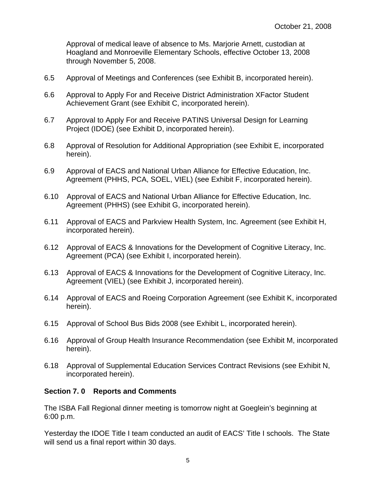Approval of medical leave of absence to Ms. Marjorie Arnett, custodian at Hoagland and Monroeville Elementary Schools, effective October 13, 2008 through November 5, 2008.

- 6.5 Approval of Meetings and Conferences (see Exhibit B, incorporated herein).
- 6.6 Approval to Apply For and Receive District Administration XFactor Student Achievement Grant (see Exhibit C, incorporated herein).
- 6.7 Approval to Apply For and Receive PATINS Universal Design for Learning Project (IDOE) (see Exhibit D, incorporated herein).
- 6.8 Approval of Resolution for Additional Appropriation (see Exhibit E, incorporated herein).
- 6.9 Approval of EACS and National Urban Alliance for Effective Education, Inc. Agreement (PHHS, PCA, SOEL, VIEL) (see Exhibit F, incorporated herein).
- 6.10 Approval of EACS and National Urban Alliance for Effective Education, Inc. Agreement (PHHS) (see Exhibit G, incorporated herein).
- 6.11 Approval of EACS and Parkview Health System, Inc. Agreement (see Exhibit H, incorporated herein).
- 6.12 Approval of EACS & Innovations for the Development of Cognitive Literacy, Inc. Agreement (PCA) (see Exhibit I, incorporated herein).
- 6.13 Approval of EACS & Innovations for the Development of Cognitive Literacy, Inc. Agreement (VIEL) (see Exhibit J, incorporated herein).
- 6.14 Approval of EACS and Roeing Corporation Agreement (see Exhibit K, incorporated herein).
- 6.15 Approval of School Bus Bids 2008 (see Exhibit L, incorporated herein).
- 6.16 Approval of Group Health Insurance Recommendation (see Exhibit M, incorporated herein).
- 6.18 Approval of Supplemental Education Services Contract Revisions (see Exhibit N, incorporated herein).

#### **Section 7. 0 Reports and Comments**

The ISBA Fall Regional dinner meeting is tomorrow night at Goeglein's beginning at 6:00 p.m.

Yesterday the IDOE Title I team conducted an audit of EACS' Title I schools. The State will send us a final report within 30 days.